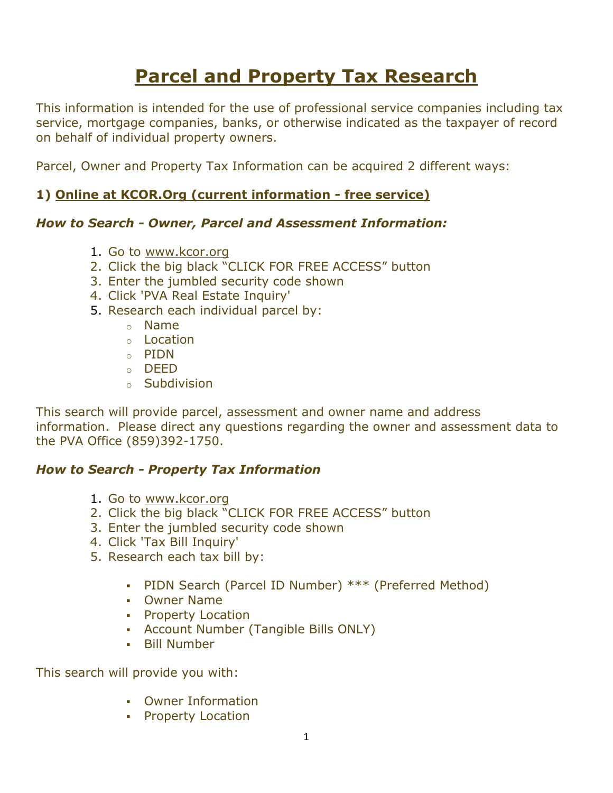# **Parcel and Property Tax Research**

This information is intended for the use of professional service companies including tax service, mortgage companies, banks, or otherwise indicated as the taxpayer of record on behalf of individual property owners.

Parcel, Owner and Property Tax Information can be acquired 2 different ways:

### **1) Online at KCOR.Org (current information - free service)**

#### *How to Search - Owner, Parcel and Assessment Information:*

- 1. Go to [www.kcor.org](http://www.kcor.org/)
- 2. Click the big black "CLICK FOR FREE ACCESS" button
- 3. Enter the jumbled security code shown
- 4. Click 'PVA Real Estate Inquiry'
- 5. Research each individual parcel by:
	- o Name
	- o Location
	- o PIDN
	- o DEED
	- o Subdivision

This search will provide parcel, assessment and owner name and address information. Please direct any questions regarding the owner and assessment data to the PVA Office (859)392-1750.

#### *How to Search - Property Tax Information*

- 1. Go to [www.kcor.org](http://www.kcor.org/)
- 2. Click the big black "CLICK FOR FREE ACCESS" button
- 3. Enter the jumbled security code shown
- 4. Click 'Tax Bill Inquiry'
- 5. Research each tax bill by:
	- PIDN Search (Parcel ID Number) \*\*\* (Preferred Method)
	- Owner Name
	- **Property Location**
	- Account Number (Tangible Bills ONLY)
	- Bill Number

This search will provide you with:

- Owner Information
- Property Location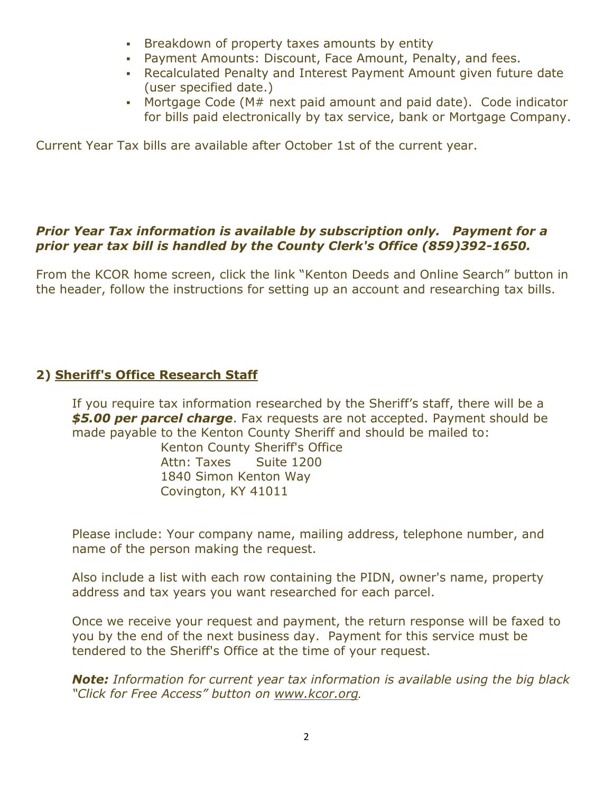- **Breakdown of property taxes amounts by entity**
- Payment Amounts: Discount, Face Amount, Penalty, and fees.
- Recalculated Penalty and Interest Payment Amount given future date (user specified date.)
- Mortgage Code (M# next paid amount and paid date). Code indicator for bills paid electronically by tax service, bank or Mortgage Company.

Current Year Tax bills are available after October 1st of the current year.

#### *Prior Year Tax information is available by subscription only. Payment for a prior year tax bill is handled by the County Clerk's Office (859)392-1650.*

From the KCOR home screen, click the link "Kenton Deeds and Online Search" button in the header, follow the instructions for setting up an account and researching tax bills.

## **2) Sheriff's Office Research Staff**

If you require tax information researched by the Sheriff's staff, there will be a *\$5.00 per parcel charge*. Fax requests are not accepted. Payment should be made payable to the Kenton County Sheriff and should be mailed to:

 Kenton County Sheriff's Office Attn: Taxes Suite 1200 1840 Simon Kenton Way Covington, KY 41011

Please include: Your company name, mailing address, telephone number, and name of the person making the request.

Also include a list with each row containing the PIDN, owner's name, property address and tax years you want researched for each parcel.

Once we receive your request and payment, the return response will be faxed to you by the end of the next business day. Payment for this service must be tendered to the Sheriff's Office at the time of your request.

*Note: Information for current year tax information is available using the big black "Click for Free Access" button on [www.kcor.org](http://www.kcor.org/).*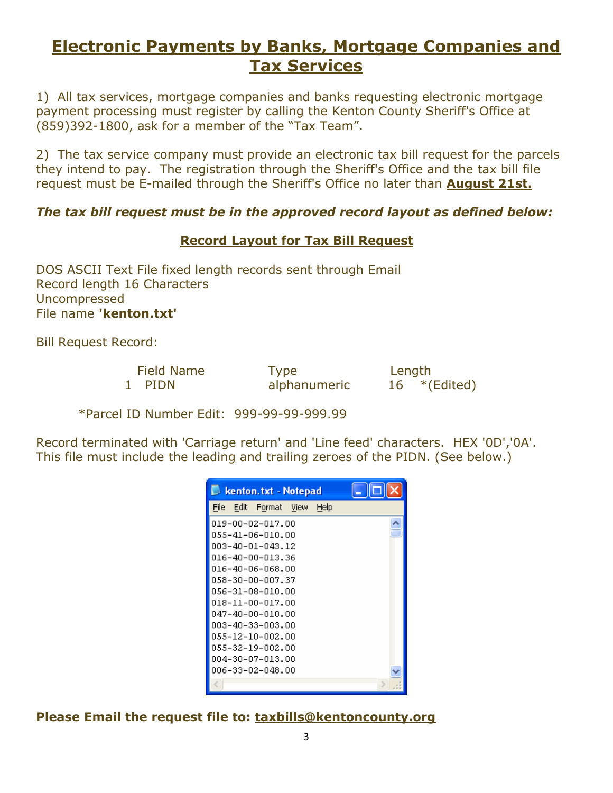# **Electronic Payments by Banks, Mortgage Companies and Tax Services**

1) All tax services, mortgage companies and banks requesting electronic mortgage payment processing must register by calling the Kenton County Sheriff's Office at (859)392-1800, ask for a member of the "Tax Team".

2) The tax service company must provide an electronic tax bill request for the parcels they intend to pay. The registration through the Sheriff's Office and the tax bill file request must be E-mailed through the Sheriff's Office no later than **August 21st.**

#### *The tax bill request must be in the approved record layout as defined below:*

#### **Record Layout for Tax Bill Request**

DOS ASCII Text File fixed length records sent through Email Record length 16 Characters Uncompressed File name **'kenton.txt'**

Bill Request Record:

| <b>Field Name</b> |  |
|-------------------|--|
| PIDN              |  |

Type Length

alphanumeric  $16$  \*(Edited)

\*Parcel ID Number Edit: 999-99-99-999.99

Record terminated with 'Carriage return' and 'Line feed' characters. HEX '0D','0A'. This file must include the leading and trailing zeroes of the PIDN. (See below.)

| kenton.txt - Notepad             | <u>               x</u> |
|----------------------------------|-------------------------|
| File<br>Edit Format View<br>Help |                         |
| 019-00-02-017.00                 |                         |
| 055-41-06-010.00                 |                         |
| 003-40-01-043.12                 |                         |
| 016-40-00-013.36                 |                         |
| 016-40-06-068.00                 |                         |
| 058-30-00-007.37                 |                         |
| 056-31-08-010.00                 |                         |
| 018-11-00-017.00                 |                         |
| 047-40-00-010.00                 |                         |
| 003-40-33-003.00                 |                         |
| 055-12-10-002.00                 |                         |
| 055-32-19-002.00                 |                         |
| 004-30-07-013.00                 |                         |
| 006-33-02-048.00                 |                         |
|                                  |                         |

**Please Email the request file to: [taxbills@kentoncounty.org](mailto:taxbills@kentoncounty.org)**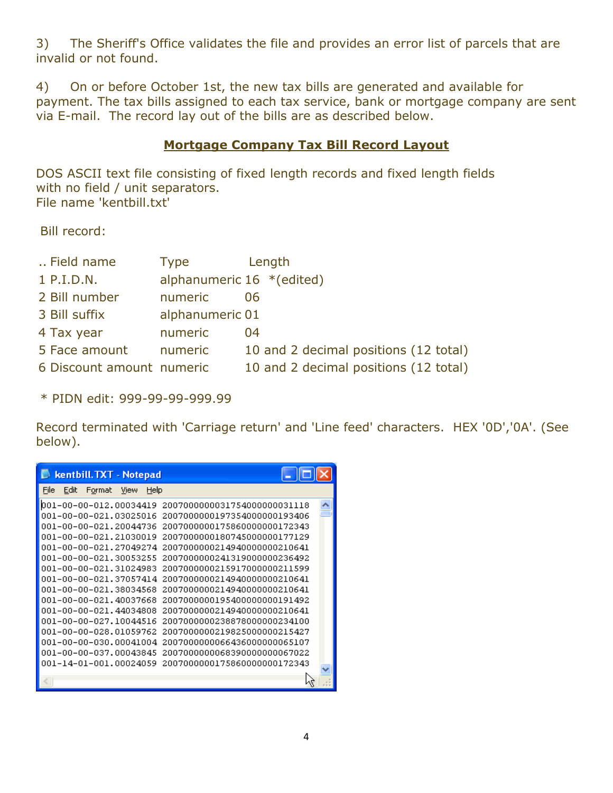3) The Sheriff's Office validates the file and provides an error list of parcels that are invalid or not found.

4) On or before October 1st, the new tax bills are generated and available for payment. The tax bills assigned to each tax service, bank or mortgage company are sent via E-mail. The record lay out of the bills are as described below.

#### **Mortgage Company Tax Bill Record Layout**

DOS ASCII text file consisting of fixed length records and fixed length fields with no field / unit separators. File name 'kentbill.txt'

Bill record:

| Field name                | Type            | Length                                |
|---------------------------|-----------------|---------------------------------------|
| 1 P.I.D.N.                |                 | alphanumeric $16 * (edited)$          |
| 2 Bill number             | numeric         | 06                                    |
| 3 Bill suffix             | alphanumeric 01 |                                       |
| 4 Tax year                | numeric         | 04                                    |
| 5 Face amount             | numeric         | 10 and 2 decimal positions (12 total) |
| 6 Discount amount numeric |                 | 10 and 2 decimal positions (12 total) |

\* PIDN edit: 999-99-99-999.99

Record terminated with 'Carriage return' and 'Line feed' characters. HEX '0D','0A'. (See below).

| kentbill.TXT - Notepad                                                                                                                                                                                                                                                                                                                                                                             |                                                                                                                                                                                                                                                                                                                                                                                                                                                                                                |
|----------------------------------------------------------------------------------------------------------------------------------------------------------------------------------------------------------------------------------------------------------------------------------------------------------------------------------------------------------------------------------------------------|------------------------------------------------------------------------------------------------------------------------------------------------------------------------------------------------------------------------------------------------------------------------------------------------------------------------------------------------------------------------------------------------------------------------------------------------------------------------------------------------|
| File<br>Edit<br>Help<br>Format<br>View                                                                                                                                                                                                                                                                                                                                                             |                                                                                                                                                                                                                                                                                                                                                                                                                                                                                                |
| 001-00-00-012.00034419<br>001-00-00-021.03025016<br>001-00-00-021.20044736<br>001-00-00-021.21030019<br>001-00-00-021.27049274<br>001-00-00-021.30053255<br>001-00-00-021.31024983<br>001-00-00-021.37057414<br>001-00-00-021.38034568<br>001-00-00-021.40037668<br>001-00-00-021.44034808<br>001-00-00-027.10044516<br>001-00-00-028.01059762<br>001-00-00-030.00041004<br>001-00-00-037.00043845 | 20070000000031754000000031118<br>2007000000197354000000193406<br>2007000000175860000000172343<br>2007000000180745000000177129<br>2007000000214940000000210641<br>2007000000241319000000236492<br>2007000000215917000000211599<br>2007000000214940000000210641<br>2007000000214940000000210641<br>20070000001954000000000191492<br>2007000000214940000000210641<br>2007000000238878000000234100<br>2007000000219825000000215427<br>2007000000066436000000065107<br>2007000000068390000000067022 |
| 001-14-01-001.00024059                                                                                                                                                                                                                                                                                                                                                                             | 2007000000175860000000172343                                                                                                                                                                                                                                                                                                                                                                                                                                                                   |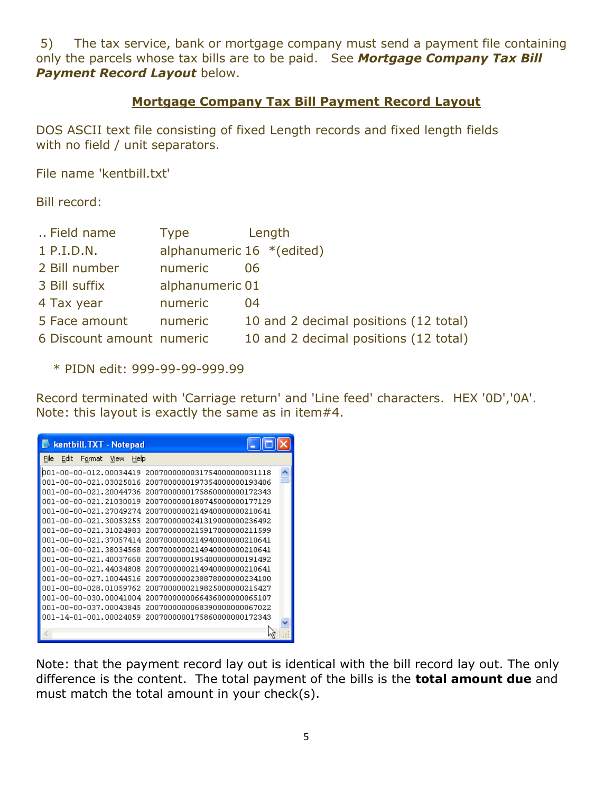5) The tax service, bank or mortgage company must send a payment file containing only the parcels whose tax bills are to be paid. See *Mortgage Company Tax Bill*  **Payment Record Layout below.** 

#### **Mortgage Company Tax Bill Payment Record Layout**

DOS ASCII text file consisting of fixed Length records and fixed length fields with no field / unit separators.

File name 'kentbill.txt'

Bill record:

| Field name                | Type            | Length                                |
|---------------------------|-----------------|---------------------------------------|
| 1 P.I.D.N.                |                 | alphanumeric $16$ *(edited)           |
| 2 Bill number             | numeric         | 06                                    |
| 3 Bill suffix             | alphanumeric 01 |                                       |
| 4 Tax year                | numeric         | 04                                    |
| 5 Face amount             | numeric         | 10 and 2 decimal positions (12 total) |
| 6 Discount amount numeric |                 | 10 and 2 decimal positions (12 total) |
|                           |                 |                                       |

\* PIDN edit: 999-99-99-999.99

Record terminated with 'Carriage return' and 'Line feed' characters. HEX '0D','0A'. Note: this layout is exactly the same as in item#4.

| <b>Kentbill.TXT - Notepad</b>          |                               |  |
|----------------------------------------|-------------------------------|--|
| File<br>Edit<br>Help<br>Format<br>View |                               |  |
| 001-00-00-012.00034419                 | 20070000000031754000000031118 |  |
| 001-00-00-021.03025016                 | 2007000000197354000000193406  |  |
| 001-00-00-021.20044736                 | 2007000000175860000000172343  |  |
| 001-00-00-021.21030019                 | 2007000000180745000000177129  |  |
| 001-00-00-021.27049274                 | 2007000000214940000000210641  |  |
| 001-00-00-021.30053255                 | 2007000000241319000000236492  |  |
| 001-00-00-021.31024983                 | 2007000000215917000000211599  |  |
| 001-00-00-021.37057414                 | 2007000000214940000000210641  |  |
| 001-00-00-021.38034568                 | 2007000000214940000000210641  |  |
| 001-00-00-021.40037668                 | 2007000000195400000000191492  |  |
| 001-00-00-021.44034808                 | 2007000000214940000000210641  |  |
| 001-00-00-027.10044516                 | 2007000000238878000000234100  |  |
| 001-00-00-028.01059762                 | 2007000000219825000000215427  |  |
| 001-00-00-030.00041004                 | 2007000000066436000000065107  |  |
| 001-00-00-037.00043845                 | 2007000000068390000000067022  |  |
| 001-14-01-001.00024059                 | 2007000000175860000000172343  |  |
|                                        |                               |  |

Note: that the payment record lay out is identical with the bill record lay out. The only difference is the content. The total payment of the bills is the **total amount due** and must match the total amount in your check(s).